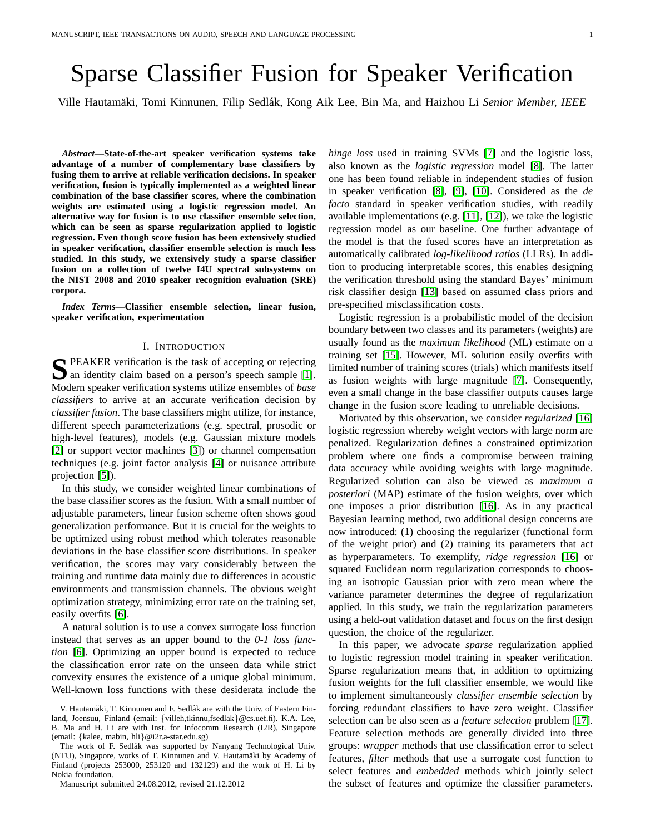# Sparse Classifier Fusion for Speaker Verification

Ville Hautamäki, Tomi Kinnunen, Filip Sedlák, Kong Aik Lee, Bin Ma, and Haizhou Li Senior Member, IEEE

*Abstract***—State-of-the-art speaker verification systems take advantage of a number of complementary base classifiers by fusing them to arrive at reliable verification decisions. In speaker verification, fusion is typically implemented as a weighted linear combination of the base classifier scores, where the combination weights are estimated using a logistic regression model. An alternative way for fusion is to use classifier ensemble selection, which can be seen as sparse regularization applied to logistic regression. Even though score fusion has been extensively studied in speaker verification, classifier ensemble selection is much less studied. In this study, we extensively study a sparse classifier fusion on a collection of twelve I4U spectral subsystems on the NIST 2008 and 2010 speaker recognition evaluation (SRE) corpora.**

*Index Terms***—Classifier ensemble selection, linear fusion, speaker verification, experimentation**

#### I. INTRODUCTION

**S** PEAKER verification is the task of accepting or rejecting an identity claim based on a person's speech sample [1]. an identity claim based on a person's speech sample [\[1\]](#page-8-0). Modern speaker verification systems utilize ensembles of *base classifiers* to arrive at an accurate verification decision by *classifier fusion*. The base classifiers might utilize, for instance, different speech parameterizations (e.g. spectral, prosodic or high-level features), models (e.g. Gaussian mixture models [\[2\]](#page-8-1) or support vector machines [\[3\]](#page-8-2)) or channel compensation techniques (e.g. joint factor analysis [\[4\]](#page-8-3) or nuisance attribute projection [\[5\]](#page-8-4)).

In this study, we consider weighted linear combinations of the base classifier scores as the fusion. With a small number of adjustable parameters, linear fusion scheme often shows good generalization performance. But it is crucial for the weights to be optimized using robust method which tolerates reasonable deviations in the base classifier score distributions. In speaker verification, the scores may vary considerably between the training and runtime data mainly due to differences in acoustic environments and transmission channels. The obvious weight optimization strategy, minimizing error rate on the training set, easily overfits [\[6\]](#page-8-5).

A natural solution is to use a convex surrogate loss function instead that serves as an upper bound to the *0-1 loss function* [\[6\]](#page-8-5). Optimizing an upper bound is expected to reduce the classification error rate on the unseen data while strict convexity ensures the existence of a unique global minimum. Well-known loss functions with these desiderata include the

Manuscript submitted 24.08.2012, revised 21.12.2012

*hinge loss* used in training SVMs [\[7\]](#page-8-6) and the logistic loss, also known as the *logistic regression* model [\[8\]](#page-8-7). The latter one has been found reliable in independent studies of fusion in speaker verification [\[8\]](#page-8-7), [\[9\]](#page-8-8), [\[10\]](#page-8-9). Considered as the *de facto* standard in speaker verification studies, with readily available implementations (e.g. [\[11\]](#page-8-10), [\[12\]](#page-8-11)), we take the logistic regression model as our baseline. One further advantage of the model is that the fused scores have an interpretation as automatically calibrated *log-likelihood ratios* (LLRs). In addition to producing interpretable scores, this enables designing the verification threshold using the standard Bayes' minimum risk classifier design [\[13\]](#page-8-12) based on assumed class priors and pre-specified misclassification costs.

Logistic regression is a probabilistic model of the decision boundary between two classes and its parameters (weights) are usually found as the *maximum likelihood* (ML) estimate on a training set [\[15\]](#page-8-13). However, ML solution easily overfits with limited number of training scores (trials) which manifests itself as fusion weights with large magnitude [\[7\]](#page-8-6). Consequently, even a small change in the base classifier outputs causes large change in the fusion score leading to unreliable decisions.

Motivated by this observation, we consider *regularized* [\[16\]](#page-8-14) logistic regression whereby weight vectors with large norm are penalized. Regularization defines a constrained optimization problem where one finds a compromise between training data accuracy while avoiding weights with large magnitude. Regularized solution can also be viewed as *maximum a posteriori* (MAP) estimate of the fusion weights, over which one imposes a prior distribution [\[16\]](#page-8-14). As in any practical Bayesian learning method, two additional design concerns are now introduced: (1) choosing the regularizer (functional form of the weight prior) and (2) training its parameters that act as hyperparameters. To exemplify, *ridge regression* [\[16\]](#page-8-14) or squared Euclidean norm regularization corresponds to choosing an isotropic Gaussian prior with zero mean where the variance parameter determines the degree of regularization applied. In this study, we train the regularization parameters using a held-out validation dataset and focus on the first design question, the choice of the regularizer.

In this paper, we advocate *sparse* regularization applied to logistic regression model training in speaker verification. Sparse regularization means that, in addition to optimizing fusion weights for the full classifier ensemble, we would like to implement simultaneously *classifier ensemble selection* by forcing redundant classifiers to have zero weight. Classifier selection can be also seen as a *feature selection* problem [\[17\]](#page-8-15). Feature selection methods are generally divided into three groups: *wrapper* methods that use classification error to select features, *filter* methods that use a surrogate cost function to select features and *embedded* methods which jointly select the subset of features and optimize the classifier parameters.

V. Hautamäki, T. Kinnunen and F. Sedlák are with the Univ. of Eastern Finland, Joensuu, Finland (email: {villeh,tkinnu,fsedlak}@cs.uef.fi). K.A. Lee, B. Ma and H. Li are with Inst. for Infocomm Research (I2R), Singapore (email: {kalee, mabin, hli}@i2r.a-star.edu.sg)

The work of F. Sedlák was supported by Nanyang Technological Univ. (NTU), Singapore, works of T. Kinnunen and V. Hautamäki by Academy of Finland (projects 253000, 253120 and 132129) and the work of H. Li by Nokia foundation.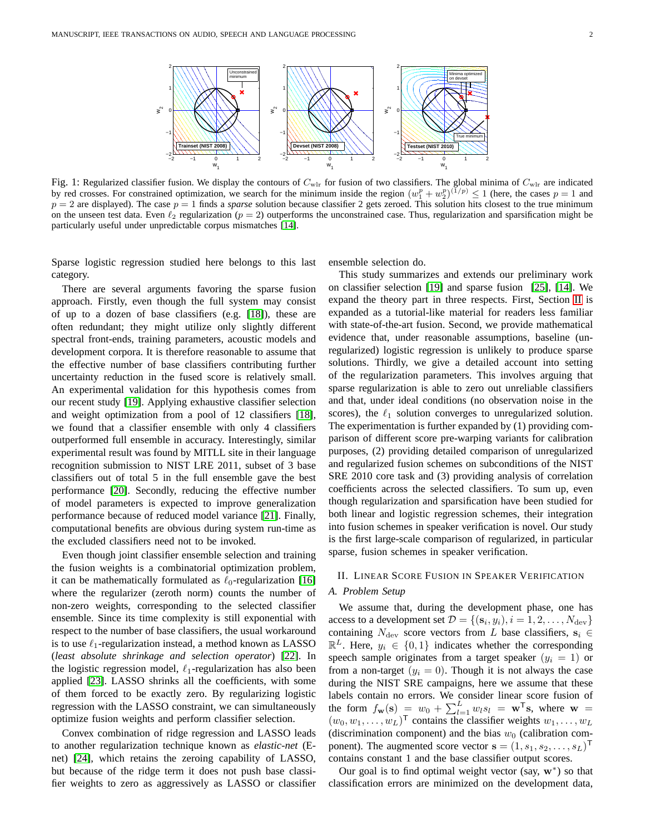<span id="page-1-1"></span>

Fig. 1: Regularized classifier fusion. We display the contours of  $C_{w1r}$  for fusion of two classifiers. The global minima of  $C_{w1r}$  are indicated by red crosses. For constrained optimization, we search for the minimum inside the region  $(w_1^p + w_2^p)^{(\frac{1}{p})} \le 1$  (here, the cases  $p = 1$  and  $p = 2$  are displayed). The case  $p = 1$  finds a *sparse* solution because classifier 2 gets zeroed. This solution hits closest to the true minimum on the unseen test data. Even  $\ell_2$  regularization ( $p = 2$ ) outperforms the unconstrained case. Thus, regularization and sparsification might be particularly useful under unpredictable corpus mismatches [\[14\]](#page-8-16).

Sparse logistic regression studied here belongs to this last category.

There are several arguments favoring the sparse fusion approach. Firstly, even though the full system may consist of up to a dozen of base classifiers (e.g. [\[18\]](#page-8-17)), these are often redundant; they might utilize only slightly different spectral front-ends, training parameters, acoustic models and development corpora. It is therefore reasonable to assume that the effective number of base classifiers contributing further uncertainty reduction in the fused score is relatively small. An experimental validation for this hypothesis comes from our recent study [\[19\]](#page-8-18). Applying exhaustive classifier selection and weight optimization from a pool of 12 classifiers [\[18\]](#page-8-17), we found that a classifier ensemble with only 4 classifiers outperformed full ensemble in accuracy. Interestingly, similar experimental result was found by MITLL site in their language recognition submission to NIST LRE 2011, subset of 3 base classifiers out of total 5 in the full ensemble gave the best performance [\[20\]](#page-8-19). Secondly, reducing the effective number of model parameters is expected to improve generalization performance because of reduced model variance [\[21\]](#page-8-20). Finally, computational benefits are obvious during system run-time as the excluded classifiers need not to be invoked.

Even though joint classifier ensemble selection and training the fusion weights is a combinatorial optimization problem, it can be mathematically formulated as  $\ell_0$ -regularization [\[16\]](#page-8-14) where the regularizer (zeroth norm) counts the number of non-zero weights, corresponding to the selected classifier ensemble. Since its time complexity is still exponential with respect to the number of base classifiers, the usual workaround is to use  $\ell_1$ -regularization instead, a method known as LASSO (*least absolute shrinkage and selection operator*) [\[22\]](#page-8-21). In the logistic regression model,  $\ell_1$ -regularization has also been applied [\[23\]](#page-8-22). LASSO shrinks all the coefficients, with some of them forced to be exactly zero. By regularizing logistic regression with the LASSO constraint, we can simultaneously optimize fusion weights and perform classifier selection.

Convex combination of ridge regression and LASSO leads to another regularization technique known as *elastic-net* (Enet) [\[24\]](#page-8-23), which retains the zeroing capability of LASSO, but because of the ridge term it does not push base classifier weights to zero as aggressively as LASSO or classifier ensemble selection do.

This study summarizes and extends our preliminary work on classifier selection [\[19\]](#page-8-18) and sparse fusion [\[25\]](#page-8-24), [\[14\]](#page-8-16). We expand the theory part in three respects. First, Section [II](#page-1-0) is expanded as a tutorial-like material for readers less familiar with state-of-the-art fusion. Second, we provide mathematical evidence that, under reasonable assumptions, baseline (unregularized) logistic regression is unlikely to produce sparse solutions. Thirdly, we give a detailed account into setting of the regularization parameters. This involves arguing that sparse regularization is able to zero out unreliable classifiers and that, under ideal conditions (no observation noise in the scores), the  $\ell_1$  solution converges to unregularized solution. The experimentation is further expanded by (1) providing comparison of different score pre-warping variants for calibration purposes, (2) providing detailed comparison of unregularized and regularized fusion schemes on subconditions of the NIST SRE 2010 core task and (3) providing analysis of correlation coefficients across the selected classifiers. To sum up, even though regularization and sparsification have been studied for both linear and logistic regression schemes, their integration into fusion schemes in speaker verification is novel. Our study is the first large-scale comparison of regularized, in particular sparse, fusion schemes in speaker verification.

### <span id="page-1-0"></span>II. LINEAR SCORE FUSION IN SPEAKER VERIFICATION

#### *A. Problem Setup*

We assume that, during the development phase, one has access to a development set  $\mathcal{D} = \{ (\mathbf{s}_i, y_i), i = 1, 2, \dots, N_{\text{dev}} \}$ containing  $N_{\text{dev}}$  score vectors from L base classifiers,  $s_i \in$  $\mathbb{R}^L$ . Here,  $y_i \in \{0, 1\}$  indicates whether the corresponding speech sample originates from a target speaker  $(y_i = 1)$  or from a non-target  $(y_i = 0)$ . Though it is not always the case during the NIST SRE campaigns, here we assume that these labels contain no errors. We consider linear score fusion of the form  $f_{\mathbf{w}}(\mathbf{s}) = w_0 + \sum_{l=1}^{L} w_l s_l = \mathbf{w}^{\mathsf{T}} \mathbf{s}$ , where  $\mathbf{w} =$  $(w_0, w_1, \ldots, w_L)^\mathsf{T}$  contains the classifier weights  $w_1, \ldots, w_L$ (discrimination component) and the bias  $w_0$  (calibration component). The augmented score vector  $\mathbf{s} = (1, s_1, s_2, \dots, s_L)^\mathsf{T}$ contains constant 1 and the base classifier output scores.

Our goal is to find optimal weight vector (say,  $w^*$ ) so that classification errors are minimized on the development data,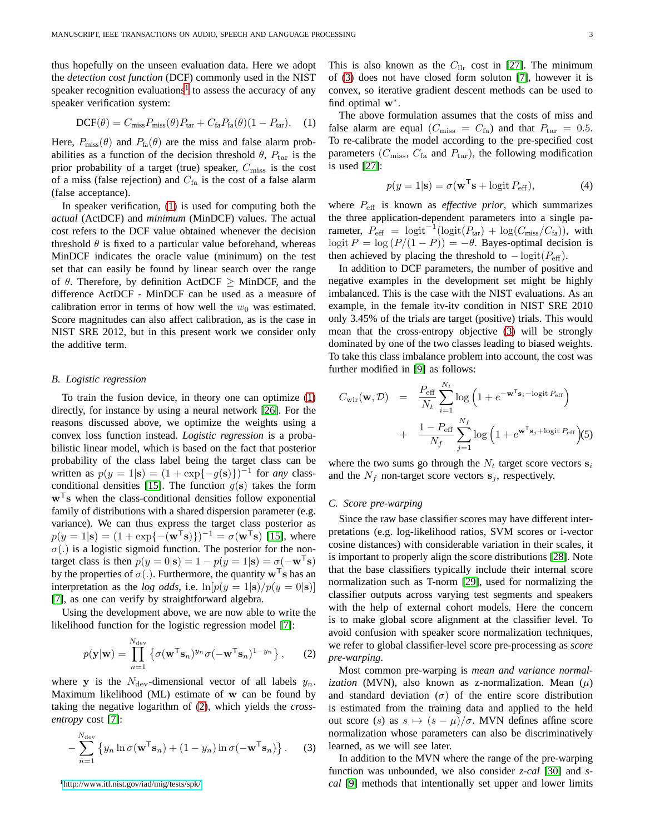thus hopefully on the unseen evaluation data. Here we adopt the *detection cost function* (DCF) commonly used in the NIST speaker recognition evaluations<sup>[1](#page-2-0)</sup> to assess the accuracy of any speaker verification system:

<span id="page-2-1"></span>
$$
DCF(\theta) = C_{\text{miss}} P_{\text{miss}}(\theta) P_{\text{tar}} + C_{\text{fa}} P_{\text{fa}}(\theta) (1 - P_{\text{tar}}). \quad (1)
$$

Here,  $P_{\text{miss}}(\theta)$  and  $P_{\text{fa}}(\theta)$  are the miss and false alarm probabilities as a function of the decision threshold  $\theta$ ,  $P_{\text{tar}}$  is the prior probability of a target (true) speaker,  $C_{\text{miss}}$  is the cost of a miss (false rejection) and  $C<sub>fa</sub>$  is the cost of a false alarm (false acceptance).

In speaker verification, [\(1\)](#page-2-1) is used for computing both the *actual* (ActDCF) and *minimum* (MinDCF) values. The actual cost refers to the DCF value obtained whenever the decision threshold  $\theta$  is fixed to a particular value beforehand, whereas MinDCF indicates the oracle value (minimum) on the test set that can easily be found by linear search over the range of  $\theta$ . Therefore, by definition ActDCF  $\geq$  MinDCF, and the difference ActDCF - MinDCF can be used as a measure of calibration error in terms of how well the  $w_0$  was estimated. Score magnitudes can also affect calibration, as is the case in NIST SRE 2012, but in this present work we consider only the additive term.

#### *B. Logistic regression*

To train the fusion device, in theory one can optimize [\(1\)](#page-2-1) directly, for instance by using a neural network [\[26\]](#page-9-0). For the reasons discussed above, we optimize the weights using a convex loss function instead. *Logistic regression* is a probabilistic linear model, which is based on the fact that posterior probability of the class label being the target class can be written as  $p(y = 1 | \mathbf{s}) = (1 + \exp{-g(\mathbf{s})})^{-1}$  for *any* class-conditional densities [\[15\]](#page-8-13). The function  $g(s)$  takes the form  $w<sup>T</sup>$ s when the class-conditional densities follow exponential family of distributions with a shared dispersion parameter (e.g. variance). We can thus express the target class posterior as  $p(y = 1|\mathbf{s}) = (1 + \exp\{-(\mathbf{w}^T \mathbf{s})\})^{-1} = \sigma(\mathbf{w}^T \mathbf{s})$  [\[15\]](#page-8-13), where  $\sigma(.)$  is a logistic sigmoid function. The posterior for the nontarget class is then  $p(y = 0|\mathbf{s}) = 1 - p(y = 1|\mathbf{s}) = \sigma(-\mathbf{w}^T\mathbf{s})$ by the properties of  $\sigma(.)$ . Furthermore, the quantity  $\mathbf{w}^T\mathbf{s}$  has an interpretation as the *log odds*, i.e.  $\ln[p(y = 1|\mathbf{s})/p(y = 0|\mathbf{s})]$ [\[7\]](#page-8-6), as one can verify by straightforward algebra.

Using the development above, we are now able to write the likelihood function for the logistic regression model [\[7\]](#page-8-6):

$$
p(\mathbf{y}|\mathbf{w}) = \prod_{n=1}^{N_{\text{dev}}} \left\{ \sigma(\mathbf{w}^{\mathsf{T}} \mathbf{s}_n)^{y_n} \sigma(-\mathbf{w}^{\mathsf{T}} \mathbf{s}_n)^{1-y_n} \right\},\qquad(2)
$$

where y is the  $N_{\text{dev}}$ -dimensional vector of all labels  $y_n$ . Maximum likelihood (ML) estimate of w can be found by taking the negative logarithm of [\(2\)](#page-2-2), which yields the *crossentropy* cost [\[7\]](#page-8-6):

<span id="page-2-3"></span>
$$
-\sum_{n=1}^{N_{\text{dev}}} \left\{y_n \ln \sigma(\mathbf{w}^{\mathsf{T}} \mathbf{s}_n) + (1 - y_n) \ln \sigma(-\mathbf{w}^{\mathsf{T}} \mathbf{s}_n)\right\}.
$$
 (3)

<span id="page-2-0"></span><sup>1</sup><http://www.itl.nist.gov/iad/mig/tests/spk/>

This is also known as the  $C_{\text{llr}}$  cost in [\[27\]](#page-9-1). The minimum of [\(3\)](#page-2-3) does not have closed form soluton [\[7\]](#page-8-6), however it is convex, so iterative gradient descent methods can be used to find optimal w<sup>∗</sup> .

The above formulation assumes that the costs of miss and false alarm are equal ( $C_{\text{miss}} = C_{\text{fa}}$ ) and that  $P_{\text{tar}} = 0.5$ . To re-calibrate the model according to the pre-specified cost parameters ( $C_{\text{miss}}$ ,  $C_{\text{fa}}$  and  $P_{\text{tar}}$ ), the following modification is used [\[27\]](#page-9-1):

$$
p(y = 1|\mathbf{s}) = \sigma(\mathbf{w}^{\mathsf{T}}\mathbf{s} + \log(t) P_{\text{eff}}), \tag{4}
$$

where Peff is known as *effective prior*, which summarizes the three application-dependent parameters into a single parameter,  $P_{\text{eff}} = \text{logit}^{-1}(\text{logit}(P_{\text{tar}}) + \text{log}(C_{\text{miss}}/C_{\text{fa}})),$  with logit  $P = \log (P/(1 - P)) = -\theta$ . Bayes-optimal decision is then achieved by placing the threshold to  $-\logit(P_{\text{eff}})$ .

In addition to DCF parameters, the number of positive and negative examples in the development set might be highly imbalanced. This is the case with the NIST evaluations. As an example, in the female itv-itv condition in NIST SRE 2010 only 3.45% of the trials are target (positive) trials. This would mean that the cross-entropy objective [\(3\)](#page-2-3) will be strongly dominated by one of the two classes leading to biased weights. To take this class imbalance problem into account, the cost was further modified in [\[9\]](#page-8-8) as follows:

<span id="page-2-4"></span>
$$
C_{\text{wlr}}(\mathbf{w}, \mathcal{D}) = \frac{P_{\text{eff}}}{N_t} \sum_{i=1}^{N_t} \log \left( 1 + e^{-\mathbf{w}^{\mathsf{T}} \mathbf{s}_i - \log \text{it } P_{\text{eff}}} \right) + \frac{1 - P_{\text{eff}}}{N_f} \sum_{j=1}^{N_f} \log \left( 1 + e^{\mathbf{w}^{\mathsf{T}} \mathbf{s}_j + \log \text{it } P_{\text{eff}}} \right) (5)
$$

where the two sums go through the  $N_t$  target score vectors  $s_i$ and the  $N_f$  non-target score vectors  $s_j$ , respectively.

## *C. Score pre-warping*

Since the raw base classifier scores may have different interpretations (e.g. log-likelihood ratios, SVM scores or i-vector cosine distances) with considerable variation in their scales, it is important to properly align the score distributions [\[28\]](#page-9-2). Note that the base classifiers typically include their internal score normalization such as T-norm [\[29\]](#page-9-3), used for normalizing the classifier outputs across varying test segments and speakers with the help of external cohort models. Here the concern is to make global score alignment at the classifier level. To avoid confusion with speaker score normalization techniques, we refer to global classifier-level score pre-processing as *score pre-warping*.

<span id="page-2-2"></span>Most common pre-warping is *mean and variance normalization* (MVN), also known as z-normalization. Mean  $(\mu)$ and standard deviation  $(\sigma)$  of the entire score distribution is estimated from the training data and applied to the held out score (s) as  $s \mapsto (s - \mu)/\sigma$ . MVN defines affine score normalization whose parameters can also be discriminatively learned, as we will see later.

In addition to the MVN where the range of the pre-warping function was unbounded, we also consider *z-cal* [\[30\]](#page-9-4) and *scal* [\[9\]](#page-8-8) methods that intentionally set upper and lower limits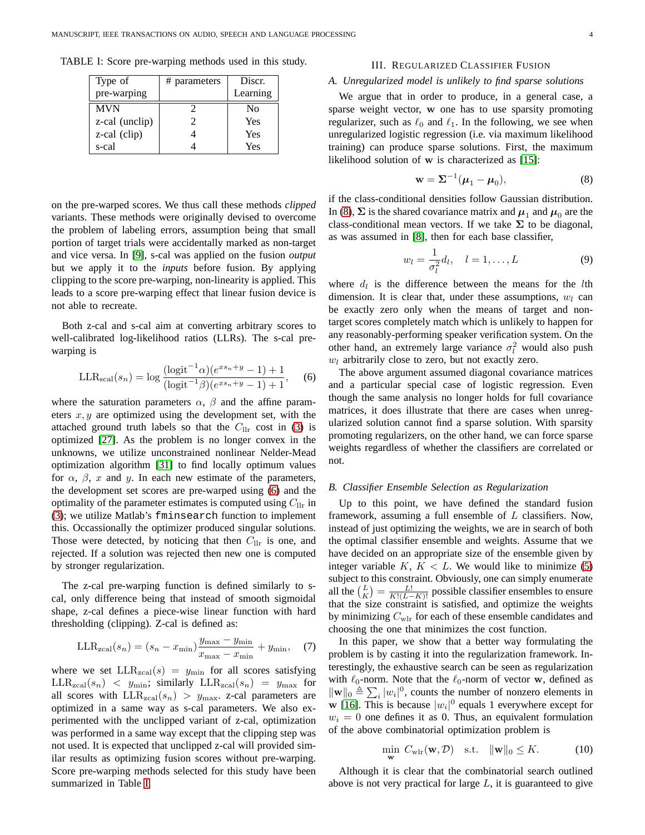<span id="page-3-1"></span>TABLE I: Score pre-warping methods used in this study.

| Type of        | # parameters | Discr.   |
|----------------|--------------|----------|
| pre-warping    |              | Learning |
| <b>MVN</b>     |              | No       |
| z-cal (unclip) | 7            | Yes      |
| z-cal (clip)   |              | Yes      |
| s-cal          |              | Yes      |

on the pre-warped scores. We thus call these methods *clipped* variants. These methods were originally devised to overcome the problem of labeling errors, assumption being that small portion of target trials were accidentally marked as non-target and vice versa. In [\[9\]](#page-8-8), s-cal was applied on the fusion *output* but we apply it to the *inputs* before fusion. By applying clipping to the score pre-warping, non-linearity is applied. This leads to a score pre-warping effect that linear fusion device is not able to recreate.

Both z-cal and s-cal aim at converting arbitrary scores to well-calibrated log-likelihood ratios (LLRs). The s-cal prewarping is

<span id="page-3-0"></span>LLR<sub>scal</sub>
$$
(s_n)
$$
 = log  $\frac{(\text{logit}^{-1}\alpha)(e^{xs_n+y} - 1) + 1}{(\text{logit}^{-1}\beta)(e^{xs_n+y} - 1) + 1}$ , (6)

where the saturation parameters  $\alpha$ ,  $\beta$  and the affine parameters  $x, y$  are optimized using the development set, with the attached ground truth labels so that the  $C_{\text{llr}}$  cost in [\(3\)](#page-2-3) is optimized [\[27\]](#page-9-1). As the problem is no longer convex in the unknowns, we utilize unconstrained nonlinear Nelder-Mead optimization algorithm [\[31\]](#page-9-5) to find locally optimum values for  $\alpha$ ,  $\beta$ , x and y. In each new estimate of the parameters, the development set scores are pre-warped using [\(6\)](#page-3-0) and the optimality of the parameter estimates is computed using  $C_{\text{llr}}$  in [\(3\)](#page-2-3); we utilize Matlab's fminsearch function to implement this. Occassionally the optimizer produced singular solutions. Those were detected, by noticing that then  $C_{\text{llr}}$  is one, and rejected. If a solution was rejected then new one is computed by stronger regularization.

The z-cal pre-warping function is defined similarly to scal, only difference being that instead of smooth sigmoidal shape, z-cal defines a piece-wise linear function with hard thresholding (clipping). Z-cal is defined as:

$$
LLR_{\text{zcal}}(s_n) = (s_n - x_{\text{min}}) \frac{y_{\text{max}} - y_{\text{min}}}{x_{\text{max}} - x_{\text{min}}} + y_{\text{min}}, \quad (7)
$$

where we set  $LLR_{zcal}(s) = y_{min}$  for all scores satisfying  $LLR_{\text{zcal}}(s_n) < y_{\text{min}}$ ; similarly  $LLR_{\text{zcal}}(s_n) = y_{\text{max}}$  for all scores with  $LLR_{zcal}(s_n) > y_{max}$ . z-cal parameters are optimized in a same way as s-cal parameters. We also experimented with the unclipped variant of z-cal, optimization was performed in a same way except that the clipping step was not used. It is expected that unclipped z-cal will provided similar results as optimizing fusion scores without pre-warping. Score pre-warping methods selected for this study have been summarized in Table [I.](#page-3-1)

#### III. REGULARIZED CLASSIFIER FUSION

## *A. Unregularized model is unlikely to find sparse solutions*

We argue that in order to produce, in a general case, a sparse weight vector, w one has to use sparsity promoting regularizer, such as  $\ell_0$  and  $\ell_1$ . In the following, we see when unregularized logistic regression (i.e. via maximum likelihood training) can produce sparse solutions. First, the maximum likelihood solution of w is characterized as [\[15\]](#page-8-13):

<span id="page-3-2"></span>
$$
\mathbf{w} = \mathbf{\Sigma}^{-1}(\boldsymbol{\mu}_1 - \boldsymbol{\mu}_0), \tag{8}
$$

if the class-conditional densities follow Gaussian distribution. In [\(8\)](#page-3-2),  $\Sigma$  is the shared covariance matrix and  $\mu_1$  and  $\mu_0$  are the class-conditional mean vectors. If we take  $\Sigma$  to be diagonal, as was assumed in [\[8\]](#page-8-7), then for each base classifier,

$$
w_l = \frac{1}{\sigma_l^2} d_l, \quad l = 1, \dots, L
$$
 (9)

where  $d_l$  is the difference between the means for the *l*th dimension. It is clear that, under these assumptions,  $w_l$  can be exactly zero only when the means of target and nontarget scores completely match which is unlikely to happen for any reasonably-performing speaker verification system. On the other hand, an extremely large variance  $\sigma_l^2$  would also push  $w_l$  arbitrarily close to zero, but not exactly zero.

The above argument assumed diagonal covariance matrices and a particular special case of logistic regression. Even though the same analysis no longer holds for full covariance matrices, it does illustrate that there are cases when unregularized solution cannot find a sparse solution. With sparsity promoting regularizers, on the other hand, we can force sparse weights regardless of whether the classifiers are correlated or not.

## *B. Classifier Ensemble Selection as Regularization*

Up to this point, we have defined the standard fusion framework, assuming a full ensemble of  $L$  classifiers. Now, instead of just optimizing the weights, we are in search of both the optimal classifier ensemble and weights. Assume that we have decided on an appropriate size of the ensemble given by integer variable  $K, K < L$ . We would like to minimize [\(5\)](#page-2-4) subject to this constraint. Obviously, one can simply enumerate all the  $\binom{L}{K} = \frac{L!}{K!(L-K)!}$  possible classifier ensembles to ensure that the size constraint is satisfied, and optimize the weights by minimizing  $C_{\text{wlr}}$  for each of these ensemble candidates and choosing the one that minimizes the cost function.

In this paper, we show that a better way formulating the problem is by casting it into the regularization framework. Interestingly, the exhaustive search can be seen as regularization with  $\ell_0$ -norm. Note that the  $\ell_0$ -norm of vector w, defined as  $\|\mathbf{w}\|_0 \triangleq \sum_i |w_i|^0$ , counts the number of nonzero elements in w [\[16\]](#page-8-14). This is because  $|w_i|^0$  equals 1 everywhere except for  $w_i = 0$  one defines it as 0. Thus, an equivalent formulation of the above combinatorial optimization problem is

<span id="page-3-3"></span>
$$
\min_{\mathbf{w}} C_{\text{wlr}}(\mathbf{w}, \mathcal{D}) \quad \text{s.t.} \quad \|\mathbf{w}\|_0 \leq K. \tag{10}
$$

Although it is clear that the combinatorial search outlined above is not very practical for large  $L$ , it is guaranteed to give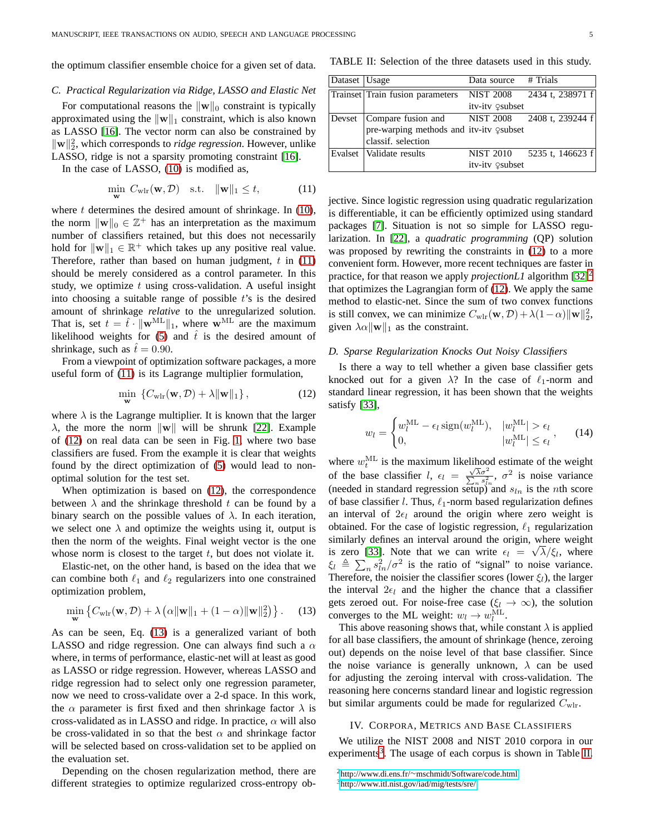the optimum classifier ensemble choice for a given set of data.

#### *C. Practical Regularization via Ridge, LASSO and Elastic Net*

For computational reasons the  $\|\mathbf{w}\|_0$  constraint is typically approximated using the  $\|\mathbf{w}\|_1$  constraint, which is also known as LASSO [\[16\]](#page-8-14). The vector norm can also be constrained by  $\|\mathbf{w}\|_2^2$ , which corresponds to *ridge regression*. However, unlike LASSO, ridge is not a sparsity promoting constraint [\[16\]](#page-8-14).

In the case of LASSO, [\(10\)](#page-3-3) is modified as,

$$
\min_{\mathbf{w}} C_{\text{wlr}}(\mathbf{w}, \mathcal{D}) \quad \text{s.t.} \quad \|\mathbf{w}\|_1 \le t,\tag{11}
$$

where  $t$  determines the desired amount of shrinkage. In  $(10)$ , the norm  $\|\mathbf{w}\|_0 \in \mathbb{Z}^+$  has an interpretation as the maximum number of classifiers retained, but this does not necessarily hold for  $\|\mathbf{w}\|_1 \in \mathbb{R}^+$  which takes up any positive real value. Therefore, rather than based on human judgment,  $t$  in [\(11\)](#page-4-0) should be merely considered as a control parameter. In this study, we optimize  $t$  using cross-validation. A useful insight into choosing a suitable range of possible  $t$ 's is the desired amount of shrinkage *relative* to the unregularized solution. That is, set  $t = \hat{t} \cdot ||\mathbf{w}^{ML}||_1$ , where  $\mathbf{w}^{ML}$  are the maximum likelihood weights for [\(5\)](#page-2-4) and  $\hat{t}$  is the desired amount of shrinkage, such as  $\hat{t} = 0.90$ .

From a viewpoint of optimization software packages, a more useful form of [\(11\)](#page-4-0) is its Lagrange multiplier formulation,

$$
\min_{\mathbf{w}} \left\{ C_{\text{wlr}}(\mathbf{w}, \mathcal{D}) + \lambda \|\mathbf{w}\|_1 \right\},\tag{12}
$$

where  $\lambda$  is the Lagrange multiplier. It is known that the larger  $\lambda$ , the more the norm  $\|\mathbf{w}\|$  will be shrunk [\[22\]](#page-8-21). Example of [\(12\)](#page-4-1) on real data can be seen in Fig. [1,](#page-1-1) where two base classifiers are fused. From the example it is clear that weights found by the direct optimization of [\(5\)](#page-2-4) would lead to nonoptimal solution for the test set.

When optimization is based on [\(12\)](#page-4-1), the correspondence between  $\lambda$  and the shrinkage threshold t can be found by a binary search on the possible values of  $\lambda$ . In each iteration, we select one  $\lambda$  and optimize the weights using it, output is then the norm of the weights. Final weight vector is the one whose norm is closest to the target  $t$ , but does not violate it.

Elastic-net, on the other hand, is based on the idea that we can combine both  $\ell_1$  and  $\ell_2$  regularizers into one constrained optimization problem,

<span id="page-4-2"></span>
$$
\min_{\mathbf{w}} \left\{ C_{\text{wlr}}(\mathbf{w}, \mathcal{D}) + \lambda \left( \alpha \|\mathbf{w}\|_{1} + (1 - \alpha) \|\mathbf{w}\|_{2}^{2} \right) \right\}. \tag{13}
$$

As can be seen, Eq. [\(13\)](#page-4-2) is a generalized variant of both LASSO and ridge regression. One can always find such a  $\alpha$ where, in terms of performance, elastic-net will at least as good as LASSO or ridge regression. However, whereas LASSO and ridge regression had to select only one regression parameter, now we need to cross-validate over a 2-d space. In this work, the  $\alpha$  parameter is first fixed and then shrinkage factor  $\lambda$  is cross-validated as in LASSO and ridge. In practice,  $\alpha$  will also be cross-validated in so that the best  $\alpha$  and shrinkage factor will be selected based on cross-validation set to be applied on the evaluation set.

Depending on the chosen regularization method, there are different strategies to optimize regularized cross-entropy ob-

<span id="page-4-5"></span>TABLE II: Selection of the three datasets used in this study.

| Dataset   Usage |                                         | Data source # Trials |                            |
|-----------------|-----------------------------------------|----------------------|----------------------------|
|                 | Trainset Train fusion parameters        |                      | NIST 2008 2434 t, 238971 f |
|                 |                                         | itv-itv Qsubset      |                            |
| Devset          | Compare fusion and                      |                      | NIST 2008 2408 t, 239244 f |
|                 | pre-warping methods and itv-itv Qsubset |                      |                            |
|                 | classif. selection                      |                      |                            |
|                 | Evalset   Validate results              |                      | NIST 2010 5235 t, 146623 f |
|                 |                                         | itv-itv 9subset      |                            |

<span id="page-4-0"></span>jective. Since logistic regression using quadratic regularization is differentiable, it can be efficiently optimized using standard packages [\[7\]](#page-8-6). Situation is not so simple for LASSO regularization. In [\[22\]](#page-8-21), a *quadratic programming* (QP) solution was proposed by rewriting the constraints in [\(12\)](#page-4-1) to a more convenient form. However, more recent techniques are faster in practice, for that reason we apply *projectionL1* algorithm [\[32\]](#page-9-6)<sup>[2](#page-4-3)</sup> that optimizes the Lagrangian form of [\(12\)](#page-4-1). We apply the same method to elastic-net. Since the sum of two convex functions is still convex, we can minimize  $C_{\text{wlr}}(\mathbf{w}, \mathcal{D}) + \lambda(1-\alpha) ||\mathbf{w}||_2^2$ , given  $\lambda \alpha \|\mathbf{w}\|_1$  as the constraint.

#### *D. Sparse Regularization Knocks Out Noisy Classifiers*

<span id="page-4-1"></span>Is there a way to tell whether a given base classifier gets knocked out for a given  $\lambda$ ? In the case of  $\ell_1$ -norm and standard linear regression, it has been shown that the weights satisfy [\[33\]](#page-9-7),

$$
w_l = \begin{cases} w_l^{\text{ML}} - \epsilon_l \operatorname{sign}(w_l^{\text{ML}}), & |w_l^{\text{ML}}| > \epsilon_l \\ 0, & |w_l^{\text{ML}}| \le \epsilon_l \end{cases}, \qquad (14)
$$

where  $w_t^{\text{ML}}$  is the maximum likelihood estimate of the weight of the base classifier  $l, \epsilon_l = \frac{\sqrt{\lambda} \sigma^2}{\sum_n s_{ln}^2}, \sigma^2$  is noise variance (needed in standard regression setup) and  $s_{ln}$  is the *n*th score of base classifier l. Thus,  $\ell_1$ -norm based regularization defines an interval of  $2\epsilon_l$  around the origin where zero weight is obtained. For the case of logistic regression,  $\ell_1$  regularization similarly defines an interval around the origin, where weight is zero [\[33\]](#page-9-7). Note that we can write  $\epsilon_l = \sqrt{\lambda}/\xi_l$ , where  $\xi_l \triangleq \sum_n s_{ln}^2/\sigma^2$  is the ratio of "signal" to noise variance. Therefore, the noisier the classifier scores (lower  $\xi_l$ ), the larger the interval  $2\epsilon_l$  and the higher the chance that a classifier gets zeroed out. For noise-free case ( $\xi_l \to \infty$ ), the solution converges to the ML weight:  $w_l \to w_l^{\text{ML}}$ .

This above reasoning shows that, while constant  $\lambda$  is applied for all base classifiers, the amount of shrinkage (hence, zeroing out) depends on the noise level of that base classifier. Since the noise variance is generally unknown,  $\lambda$  can be used for adjusting the zeroing interval with cross-validation. The reasoning here concerns standard linear and logistic regression but similar arguments could be made for regularized  $C_{\text{wlr}}$ .

#### IV. CORPORA, METRICS AND BASE CLASSIFIERS

We utilize the NIST 2008 and NIST 2010 corpora in our experiments<sup>[3](#page-4-4)</sup>. The usage of each corpus is shown in Table [II.](#page-4-5)

<span id="page-4-4"></span><span id="page-4-3"></span><sup>2</sup>http://www.di.ens.fr/∼[mschmidt/Software/code.html](http://www.di.ens.fr/~mschmidt/Software/code.html) <sup>3</sup><http://www.itl.nist.gov/iad/mig/tests/sre/>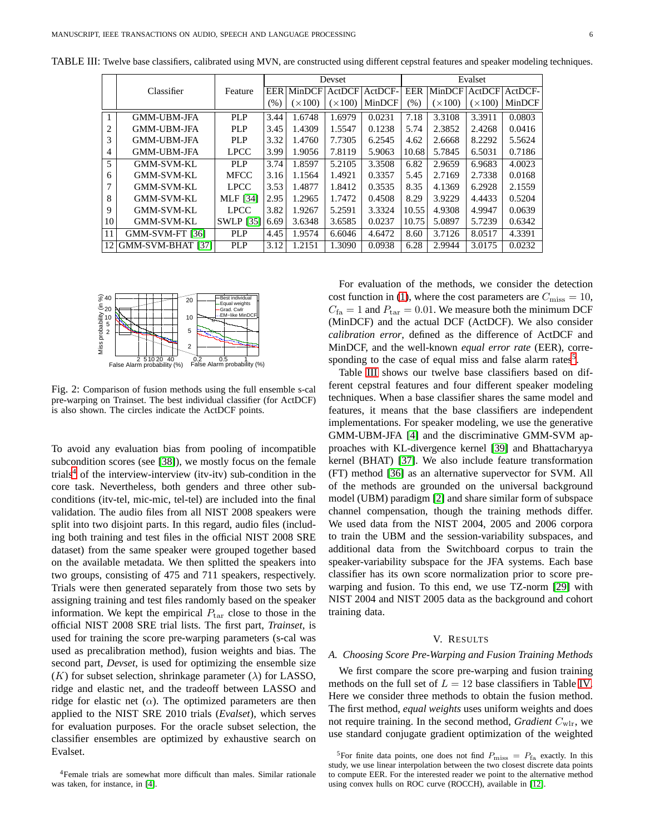|              |                    |                  |            |                | Devset         |         | Evalset |                |                |         |  |
|--------------|--------------------|------------------|------------|----------------|----------------|---------|---------|----------------|----------------|---------|--|
|              | Classifier         | Feature          | <b>EER</b> | MinDCF         | ActDCF         | ActDCF- | EER     | MinDCF         | ActDCF         | ActDCF- |  |
|              |                    |                  | (%)        | $(\times 100)$ | $(\times 100)$ | MinDCF  | (%)     | $(\times 100)$ | $(\times 100)$ | MinDCF  |  |
| $\mathbf{1}$ | <b>GMM-UBM-JFA</b> | PLP              | 3.44       | 1.6748         | 1.6979         | 0.0231  | 7.18    | 3.3108         | 3.3911         | 0.0803  |  |
| 2            | <b>GMM-UBM-JFA</b> | PLP              | 3.45       | 1.4309         | 1.5547         | 0.1238  | 5.74    | 2.3852         | 2.4268         | 0.0416  |  |
| 3            | <b>GMM-UBM-JFA</b> | <b>PLP</b>       | 3.32       | 1.4760         | 7.7305         | 6.2545  | 4.62    | 2.6668         | 8.2292         | 5.5624  |  |
| 4            | <b>GMM-UBM-JFA</b> | <b>LPCC</b>      | 3.99       | 1.9056         | 7.8119         | 5.9063  | 10.68   | 5.7845         | 6.5031         | 0.7186  |  |
| 5            | <b>GMM-SVM-KL</b>  | PLP              | 3.74       | 1.8597         | 5.2105         | 3.3508  | 6.82    | 2.9659         | 6.9683         | 4.0023  |  |
| 6            | <b>GMM-SVM-KL</b>  | <b>MFCC</b>      | 3.16       | 1.1564         | 1.4921         | 0.3357  | 5.45    | 2.7169         | 2.7338         | 0.0168  |  |
| 7            | <b>GMM-SVM-KL</b>  | <b>LPCC</b>      | 3.53       | 1.4877         | 1.8412         | 0.3535  | 8.35    | 4.1369         | 6.2928         | 2.1559  |  |
| 8            | <b>GMM-SVM-KL</b>  | <b>MLF</b> [34]  | 2.95       | 1.2965         | 1.7472         | 0.4508  | 8.29    | 3.9229         | 4.4433         | 0.5204  |  |
| 9            | <b>GMM-SVM-KL</b>  | <b>LPCC</b>      | 3.82       | 1.9267         | 5.2591         | 3.3324  | 10.55   | 4.9308         | 4.9947         | 0.0639  |  |
| 10           | <b>GMM-SVM-KL</b>  | <b>SWLP</b> [35] | 6.69       | 3.6348         | 3.6585         | 0.0237  | 10.75   | 5.0897         | 5.7239         | 0.6342  |  |
| 11           | GMM-SVM-FT [36]    | <b>PLP</b>       | 4.45       | 1.9574         | 6.6046         | 4.6472  | 8.60    | 3.7126         | 8.0517         | 4.3391  |  |
| 12           | GMM-SVM-BHAT [37]  | <b>PLP</b>       | 3.12       | 1.2151         | 1.3090         | 0.0938  | 6.28    | 2.9944         | 3.0175         | 0.0232  |  |

<span id="page-5-2"></span>TABLE III: Twelve base classifiers, calibrated using MVN, are constructed using different cepstral features and speaker modeling techniques.

<span id="page-5-3"></span>

Fig. 2: Comparison of fusion methods using the full ensemble s-cal pre-warping on Trainset. The best individual classifier (for ActDCF) is also shown. The circles indicate the ActDCF points.

To avoid any evaluation bias from pooling of incompatible subcondition scores (see [\[38\]](#page-9-12)), we mostly focus on the female trials<sup>[4](#page-5-0)</sup> of the interview-interview (itv-itv) sub-condition in the core task. Nevertheless, both genders and three other subconditions (itv-tel, mic-mic, tel-tel) are included into the final validation. The audio files from all NIST 2008 speakers were split into two disjoint parts. In this regard, audio files (including both training and test files in the official NIST 2008 SRE dataset) from the same speaker were grouped together based on the available metadata. We then splitted the speakers into two groups, consisting of 475 and 711 speakers, respectively. Trials were then generated separately from those two sets by assigning training and test files randomly based on the speaker information. We kept the empirical  $P_{\text{tar}}$  close to those in the official NIST 2008 SRE trial lists. The first part, *Trainset*, is used for training the score pre-warping parameters (s-cal was used as precalibration method), fusion weights and bias. The second part, *Devset*, is used for optimizing the ensemble size  $(K)$  for subset selection, shrinkage parameter  $(\lambda)$  for LASSO, ridge and elastic net, and the tradeoff between LASSO and ridge for elastic net  $(\alpha)$ . The optimized parameters are then applied to the NIST SRE 2010 trials (*Evalset*), which serves for evaluation purposes. For the oracle subset selection, the classifier ensembles are optimized by exhaustive search on Evalset.

For evaluation of the methods, we consider the detection cost function in [\(1\)](#page-2-1), where the cost parameters are  $C_{\text{miss}} = 10$ ,  $C_{\text{fa}} = 1$  and  $P_{\text{tar}} = 0.01$ . We measure both the minimum DCF (MinDCF) and the actual DCF (ActDCF). We also consider *calibration error*, defined as the difference of ActDCF and MinDCF, and the well-known *equal error rate* (EER), corre-sponding to the case of equal miss and false alarm rates<sup>[5](#page-5-1)</sup>.

Table [III](#page-5-2) shows our twelve base classifiers based on different cepstral features and four different speaker modeling techniques. When a base classifier shares the same model and features, it means that the base classifiers are independent implementations. For speaker modeling, we use the generative GMM-UBM-JFA [\[4\]](#page-8-3) and the discriminative GMM-SVM approaches with KL-divergence kernel [\[39\]](#page-9-13) and Bhattacharyya kernel (BHAT) [\[37\]](#page-9-11). We also include feature transformation (FT) method [\[36\]](#page-9-10) as an alternative supervector for SVM. All of the methods are grounded on the universal background model (UBM) paradigm [\[2\]](#page-8-1) and share similar form of subspace channel compensation, though the training methods differ. We used data from the NIST 2004, 2005 and 2006 corpora to train the UBM and the session-variability subspaces, and additional data from the Switchboard corpus to train the speaker-variability subspace for the JFA systems. Each base classifier has its own score normalization prior to score prewarping and fusion. To this end, we use TZ-norm [\[29\]](#page-9-3) with NIST 2004 and NIST 2005 data as the background and cohort training data.

#### V. RESULTS

#### *A. Choosing Score Pre-Warping and Fusion Training Methods*

We first compare the score pre-warping and fusion training methods on the full set of  $L = 12$  base classifiers in Table [IV.](#page-6-0) Here we consider three methods to obtain the fusion method. The first method, *equal weights* uses uniform weights and does not require training. In the second method, *Gradient* Cwlr, we use standard conjugate gradient optimization of the weighted

<span id="page-5-0"></span><sup>4</sup>Female trials are somewhat more difficult than males. Similar rationale was taken, for instance, in [\[4\]](#page-8-3).

<span id="page-5-1"></span><sup>&</sup>lt;sup>5</sup>For finite data points, one does not find  $P_{\text{miss}} = P_{\text{fa}}$  exactly. In this study, we use linear interpolation between the two closest discrete data points to compute EER. For the interested reader we point to the alternative method using convex hulls on ROC curve (ROCCH), available in [\[12\]](#page-8-11).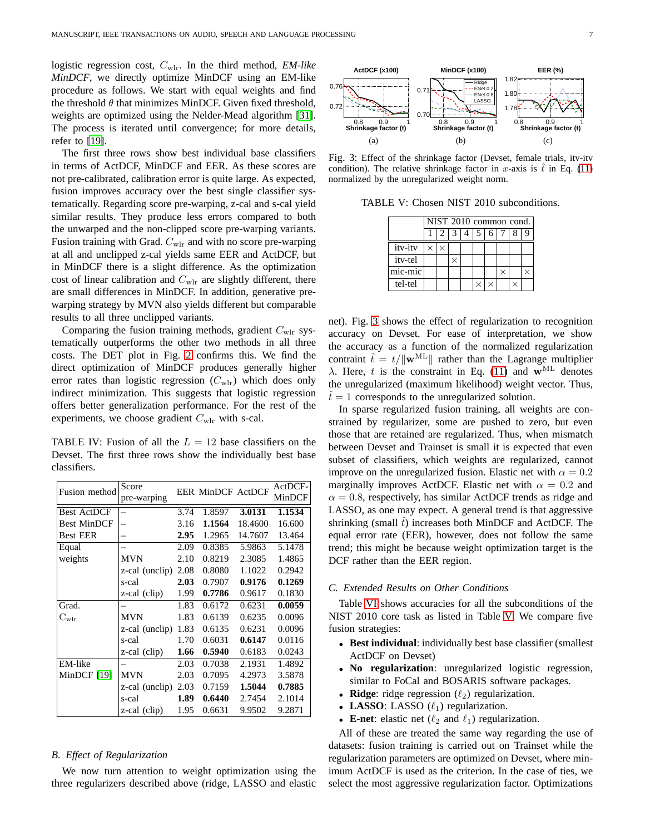logistic regression cost, Cwlr. In the third method, *EM-like MinDCF*, we directly optimize MinDCF using an EM-like procedure as follows. We start with equal weights and find the threshold  $\theta$  that minimizes MinDCF. Given fixed threshold, weights are optimized using the Nelder-Mead algorithm [\[31\]](#page-9-5). The process is iterated until convergence; for more details, refer to [\[19\]](#page-8-18).

The first three rows show best individual base classifiers in terms of ActDCF, MinDCF and EER. As these scores are not pre-calibrated, calibration error is quite large. As expected, fusion improves accuracy over the best single classifier systematically. Regarding score pre-warping, z-cal and s-cal yield similar results. They produce less errors compared to both the unwarped and the non-clipped score pre-warping variants. Fusion training with Grad.  $C_{\text{wlr}}$  and with no score pre-warping at all and unclipped z-cal yields same EER and ActDCF, but in MinDCF there is a slight difference. As the optimization cost of linear calibration and  $C_{\text{wlr}}$  are slightly different, there are small differences in MinDCF. In addition, generative prewarping strategy by MVN also yields different but comparable results to all three unclipped variants.

Comparing the fusion training methods, gradient  $C_{\text{wlr}}$  systematically outperforms the other two methods in all three costs. The DET plot in Fig. [2](#page-5-3) confirms this. We find the direct optimization of MinDCF produces generally higher error rates than logistic regression  $(C_{\text{wlr}})$  which does only indirect minimization. This suggests that logistic regression offers better generalization performance. For the rest of the experiments, we choose gradient  $C_{\text{wlr}}$  with s-cal.

<span id="page-6-0"></span>TABLE IV: Fusion of all the  $L = 12$  base classifiers on the Devset. The first three rows show the individually best base classifiers.

| Fusion method               | Score          |      | <b>EER MinDCF ActDCF</b> |         | ActDCF- |
|-----------------------------|----------------|------|--------------------------|---------|---------|
|                             | pre-warping    |      |                          |         | MinDCF  |
| <b>Best ActDCF</b>          |                | 3.74 | 1.8597                   | 3.0131  | 1.1534  |
| <b>Best MinDCF</b>          |                | 3.16 | 1.1564                   | 18.4600 | 16.600  |
| <b>Best EER</b>             |                | 2.95 | 1.2965                   | 14.7607 | 13.464  |
| Equal                       |                | 2.09 | 0.8385                   | 5.9863  | 5.1478  |
| weights                     | MVN            | 2.10 | 0.8219                   | 2.3085  | 1.4865  |
|                             | z-cal (unclip) | 2.08 | 0.8080                   | 1.1022  | 0.2942  |
|                             | s-cal          | 2.03 | 0.7907                   | 0.9176  | 0.1269  |
|                             | z-cal (clip)   | 1.99 | 0.7786                   | 0.9617  | 0.1830  |
| Grad.                       |                | 1.83 | 0.6172                   | 0.6231  | 0.0059  |
| $\mathrm{C}_{\mathrm{wlr}}$ | MVN            | 1.83 | 0.6139                   | 0.6235  | 0.0096  |
|                             | z-cal (unclip) | 1.83 | 0.6135                   | 0.6231  | 0.0096  |
|                             | s-cal          | 1.70 | 0.6031                   | 0.6147  | 0.0116  |
|                             | z-cal (clip)   | 1.66 | 0.5940                   | 0.6183  | 0.0243  |
| EM-like                     |                | 2.03 | 0.7038                   | 2.1931  | 1.4892  |
| MinDCF [19]                 | <b>MVN</b>     | 2.03 | 0.7095                   | 4.2973  | 3.5878  |
|                             | z-cal (unclip) | 2.03 | 0.7159                   | 1.5044  | 0.7885  |
|                             | s-cal          | 1.89 | 0.6440                   | 2.7454  | 2.1014  |
|                             | z-cal (clip)   | 1.95 | 0.6631                   | 9.9502  | 9.2871  |

#### *B. Effect of Regularization*

We now turn attention to weight optimization using the three regularizers described above (ridge, LASSO and elastic

<span id="page-6-1"></span>

<span id="page-6-2"></span>Fig. 3: Effect of the shrinkage factor (Devset, female trials, itv-itv condition). The relative shrinkage factor in x-axis is  $\hat{t}$  in Eq. [\(11\)](#page-4-0) normalized by the unregularized weight norm.

TABLE V: Chosen NIST 2010 subconditions.

|         |          | NIST 2010 common cond. |  |  |  |   |  |  |  |  |  |  |
|---------|----------|------------------------|--|--|--|---|--|--|--|--|--|--|
|         |          | 1213145                |  |  |  | 6 |  |  |  |  |  |  |
| itv-itv | $\times$ | ×                      |  |  |  |   |  |  |  |  |  |  |
| itv-tel |          |                        |  |  |  |   |  |  |  |  |  |  |
| mic-mic |          |                        |  |  |  |   |  |  |  |  |  |  |
| tel-tel |          |                        |  |  |  |   |  |  |  |  |  |  |

net). Fig. [3](#page-6-1) shows the effect of regularization to recognition accuracy on Devset. For ease of interpretation, we show the accuracy as a function of the normalized regularization contraint  $\hat{t} = t/||\mathbf{w}^{\text{ML}}||$  rather than the Lagrange multiplier λ. Here, t is the constraint in Eq. [\(11\)](#page-4-0) and  $w^{\text{ML}}$  denotes the unregularized (maximum likelihood) weight vector. Thus,  $t=1$  corresponds to the unregularized solution.

In sparse regularized fusion training, all weights are constrained by regularizer, some are pushed to zero, but even those that are retained are regularized. Thus, when mismatch between Devset and Trainset is small it is expected that even subset of classifiers, which weights are regularized, cannot improve on the unregularized fusion. Elastic net with  $\alpha = 0.2$ marginally improves ActDCF. Elastic net with  $\alpha = 0.2$  and  $\alpha = 0.8$ , respectively, has similar ActDCF trends as ridge and LASSO, as one may expect. A general trend is that aggressive shrinking (small  $\hat{t}$ ) increases both MinDCF and ActDCF. The equal error rate (EER), however, does not follow the same trend; this might be because weight optimization target is the DCF rather than the EER region.

### *C. Extended Results on Other Conditions*

Table [VI](#page-7-0) shows accuracies for all the subconditions of the NIST 2010 core task as listed in Table [V.](#page-6-2) We compare five fusion strategies:

- **Best individual**: individually best base classifier (smallest ActDCF on Devset)
- **No regularization**: unregularized logistic regression, similar to FoCal and BOSARIS software packages.
- **Ridge**: ridge regression  $(\ell_2)$  regularization.
- **LASSO**: LASSO  $(\ell_1)$  regularization.
- **E-net**: elastic net  $(\ell_2 \text{ and } \ell_1)$  regularization.

All of these are treated the same way regarding the use of datasets: fusion training is carried out on Trainset while the regularization parameters are optimized on Devset, where minimum ActDCF is used as the criterion. In the case of ties, we select the most aggressive regularization factor. Optimizations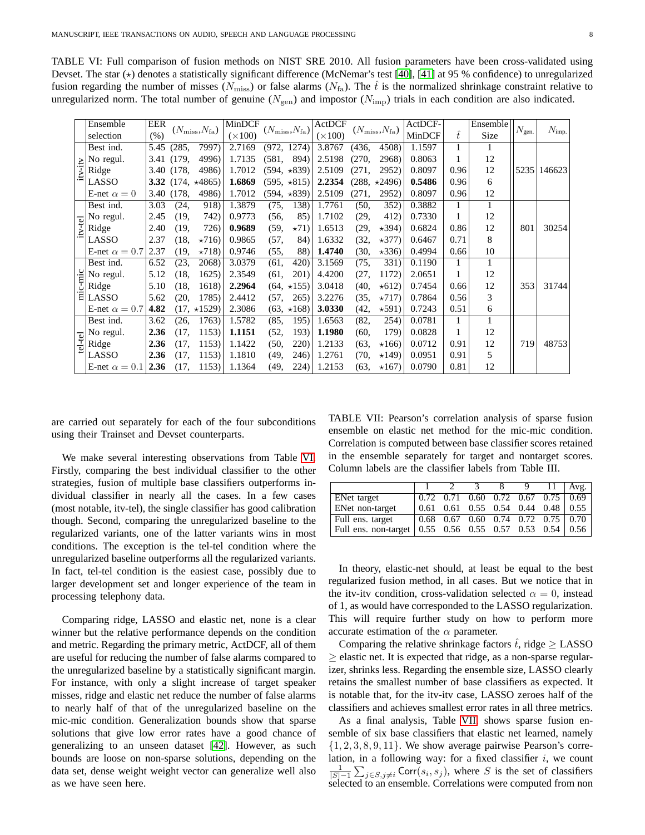<span id="page-7-0"></span>TABLE VI: Full comparison of fusion methods on NIST SRE 2010. All fusion parameters have been cross-validated using Devset. The star  $(\star)$  denotes a statistically significant difference (McNemar's test [\[40\]](#page-9-14), [\[41\]](#page-9-15) at 95 % confidence) to unregularized fusion regarding the number of misses ( $N_{\text{miss}}$ ) or false alarms ( $N_{\text{fa}}$ ). The  $\hat{t}$  is the normalized shrinkage constraint relative to unregularized norm. The total number of genuine ( $N_{\text{gen}}$ ) and impostor ( $N_{\text{imp}}$ ) trials in each condition are also indicated.

|         | Ensemble                                                                                                                                      | <b>EER</b> |            |                              | MinDCF         |          |                              | ActDCF         |          |                              | ActDCF- |           | Ensemble |                   |                   |
|---------|-----------------------------------------------------------------------------------------------------------------------------------------------|------------|------------|------------------------------|----------------|----------|------------------------------|----------------|----------|------------------------------|---------|-----------|----------|-------------------|-------------------|
|         | selection                                                                                                                                     | (% )       |            | $(N_{\rm miss}, N_{\rm fa})$ | $(\times 100)$ |          | $(N_{\rm miss}, N_{\rm fa})$ | $(\times 100)$ |          | $(N_{\rm miss}, N_{\rm fa})$ | MinDCF  | $\hat{t}$ | Size     | $N_{\text{gen.}}$ | $N_{\text{imp.}}$ |
|         | Best ind.                                                                                                                                     | 5.45       | (285,      | 7997)                        | 2.7169         |          | (972, 1274)                  | 3.8767         | (436,    | 4508)                        | 1.1597  |           |          |                   |                   |
|         |                                                                                                                                               |            | 3.41 (179, | 4996)                        | 1.7135         | (581,    | 894)                         | 2.5198         | (270,    | 2968)                        | 0.8063  |           | 12       |                   |                   |
|         | $\frac{\sum_{i=1}^{n} \text{No regular}}{\sum_{i=1}^{n} \text{Ridge}}$                                                                        |            | 3.40 (178, | 4986)                        | 1.7012         |          | $(594, *839)$                | 2.5109         | (271,    | 2952)                        | 0.8097  | 0.96      | 12       | 5235              | 146623            |
|         | LASSO                                                                                                                                         |            |            | 3.32 $(174, *4865)$          | 1.6869         |          | $(595, *815)$                | 2.2354         |          | $(288, *2496)$               | 0.5486  | 0.96      | 6        |                   |                   |
|         | E-net $\alpha = 0$                                                                                                                            |            | 3.40 (178, | 4986)                        | 1.7012         |          | $(594, *839)$                | 2.5109         | (271,    | 2952)                        | 0.8097  | 0.96      | 12       |                   |                   |
|         | Best ind.                                                                                                                                     | 3.03       | (24,       | 918)                         | 1.3879         | (75,     | 138)                         | 1.7761         | (50, 50) | 352)                         | 0.3882  | 1         |          |                   |                   |
|         | No regul.                                                                                                                                     | 2.45       | (19,       | 742)                         | 0.9773         | (56, 56) | 85)                          | 1.7102         | (29,     | 412)                         | 0.7330  |           | 12       |                   |                   |
| itv-tel | Ridge                                                                                                                                         | 2.40       | (19,       | 726)                         | 0.9689         | (59, 59) | $\star$ 71)                  | 1.6513         | (29,     | $\star$ 394)                 | 0.6824  | 0.86      | 12       | 801               | 30254             |
|         | LASSO                                                                                                                                         | 2.37       | (18,       | $\star 716$                  | 0.9865         | (57,     | 84)                          | 1.6332         | (32,     | $\star$ 377)                 | 0.6467  | 0.71      | 8        |                   |                   |
|         | E-net $\alpha = 0.7$                                                                                                                          | 2.37       | (19,       | $\star 718$                  | 0.9746         | (55,     | 88)                          | 1.4740         | (30,     | $\star 336$                  | 0.4994  | 0.66      | 10       |                   |                   |
|         | Best ind.                                                                                                                                     | 6.52       | (23,       | 2068)                        | 3.0379         | (61,     | 420)                         | 3.1569         | (75,     | 331)                         | 0.1190  | 1         | 1        |                   |                   |
|         | No regul.                                                                                                                                     | 5.12       | (18,       | 1625)                        | 2.3549         | (61,     | 201)                         | 4.4200         | (27,     | 1172)                        | 2.0651  |           | 12       |                   |                   |
|         |                                                                                                                                               | 5.10       | (18,       | 1618)                        | 2.2964         |          | $(64, *155)$                 | 3.0418         | (40,     | $\star 612)$                 | 0.7454  | 0.66      | 12       | 353               | 31744             |
|         | $\begin{array}{c}\n \stackrel{\text{Q}}{=} \begin{bmatrix}\n \text{No regul} \\  \text{Ridge} \\  \text{LASSO}\n \end{bmatrix}\n \end{array}$ | 5.62       | (20,       | 1785)                        | 2.4412         | (57,     | 265)                         | 3.2276         | (35,     | $\star 717$                  | 0.7864  | 0.56      | 3        |                   |                   |
|         | E-net $\alpha = 0.7$                                                                                                                          | 4.82       |            | $(17, *1529)$                | 2.3086         |          | $(63, *168)$                 | 3.0330         | (42,     | $\star 591)$                 | 0.7243  | 0.51      | 6        |                   |                   |
|         | Best ind.                                                                                                                                     | 3.62       | (26,       | 1763)                        | 1.5782         | (85,     | 195)                         | 1.6563         | (82,     | 254)                         | 0.0781  | 1         |          |                   |                   |
|         | No regul.                                                                                                                                     | 2.36       | (17,       | 1153)                        | 1.1151         | (52,     | 193)                         | 1.1980         | (60,     | 179)                         | 0.0828  |           | 12       |                   |                   |
| tel-tel | Ridge                                                                                                                                         | 2.36       | (17,       | 1153)                        | 1.1422         | (50,     | 220)                         | 1.2133         | (63,     | $\star 166$                  | 0.0712  | 0.91      | 12       | 719               | 48753             |
|         | LASSO                                                                                                                                         | 2.36       | (17,       | 1153)                        | 1.1810         | (49,     | 246)                         | 1.2761         | (70, 70) | $\star$ 149)                 | 0.0951  | 0.91      | 5        |                   |                   |
|         | E-net $\alpha = 0.1$                                                                                                                          | 2.36       | (17,       | 1153)                        | 1.1364         | (49,     | 224)                         | 1.2153         | (63,     | $\star$ 167)                 | 0.0790  | 0.81      | 12       |                   |                   |

are carried out separately for each of the four subconditions using their Trainset and Devset counterparts.

We make several interesting observations from Table [VI.](#page-7-0) Firstly, comparing the best individual classifier to the other strategies, fusion of multiple base classifiers outperforms individual classifier in nearly all the cases. In a few cases (most notable, itv-tel), the single classifier has good calibration though. Second, comparing the unregularized baseline to the regularized variants, one of the latter variants wins in most conditions. The exception is the tel-tel condition where the unregularized baseline outperforms all the regularized variants. In fact, tel-tel condition is the easiest case, possibly due to larger development set and longer experience of the team in processing telephony data.

Comparing ridge, LASSO and elastic net, none is a clear winner but the relative performance depends on the condition and metric. Regarding the primary metric, ActDCF, all of them are useful for reducing the number of false alarms compared to the unregularized baseline by a statistically significant margin. For instance, with only a slight increase of target speaker misses, ridge and elastic net reduce the number of false alarms to nearly half of that of the unregularized baseline on the mic-mic condition. Generalization bounds show that sparse solutions that give low error rates have a good chance of generalizing to an unseen dataset [\[42\]](#page-9-16). However, as such bounds are loose on non-sparse solutions, depending on the data set, dense weight weight vector can generalize well also as we have seen here.

<span id="page-7-1"></span>TABLE VII: Pearson's correlation analysis of sparse fusion ensemble on elastic net method for the mic-mic condition. Correlation is computed between base classifier scores retained in the ensemble separately for target and nontarget scores. Column labels are the classifier labels from Table III.

|                                                             |      |  | 8 <sup>1</sup> | 9 | $11$   Avg.                               |
|-------------------------------------------------------------|------|--|----------------|---|-------------------------------------------|
| ENet target                                                 |      |  |                |   |                                           |
| <b>ENet non-target</b>                                      | 0.61 |  |                |   | $0.61$ $0.55$ $0.54$ $0.44$ $0.48$ $0.55$ |
| Full ens. target                                            |      |  |                |   |                                           |
| Full ens. non-target   0.55 0.56 0.55 0.57 0.53 0.54   0.56 |      |  |                |   |                                           |

In theory, elastic-net should, at least be equal to the best regularized fusion method, in all cases. But we notice that in the itv-itv condition, cross-validation selected  $\alpha = 0$ , instead of 1, as would have corresponded to the LASSO regularization. This will require further study on how to perform more accurate estimation of the  $\alpha$  parameter.

Comparing the relative shrinkage factors  $\hat{t}$ , ridge  $\geq$  LASSO  $>$  elastic net. It is expected that ridge, as a non-sparse regularizer, shrinks less. Regarding the ensemble size, LASSO clearly retains the smallest number of base classifiers as expected. It is notable that, for the itv-itv case, LASSO zeroes half of the classifiers and achieves smallest error rates in all three metrics.

As a final analysis, Table [VII,](#page-7-1) shows sparse fusion ensemble of six base classifiers that elastic net learned, namely  $\{1, 2, 3, 8, 9, 11\}$ . We show average pairwise Pearson's correlation, in a following way: for a fixed classifier  $i$ , we count  $\frac{1}{|S|-1} \sum_{j \in S, j \neq i} \text{Corr}(s_i, s_j)$ , where S is the set of classifiers selected to an ensemble. Correlations were computed from non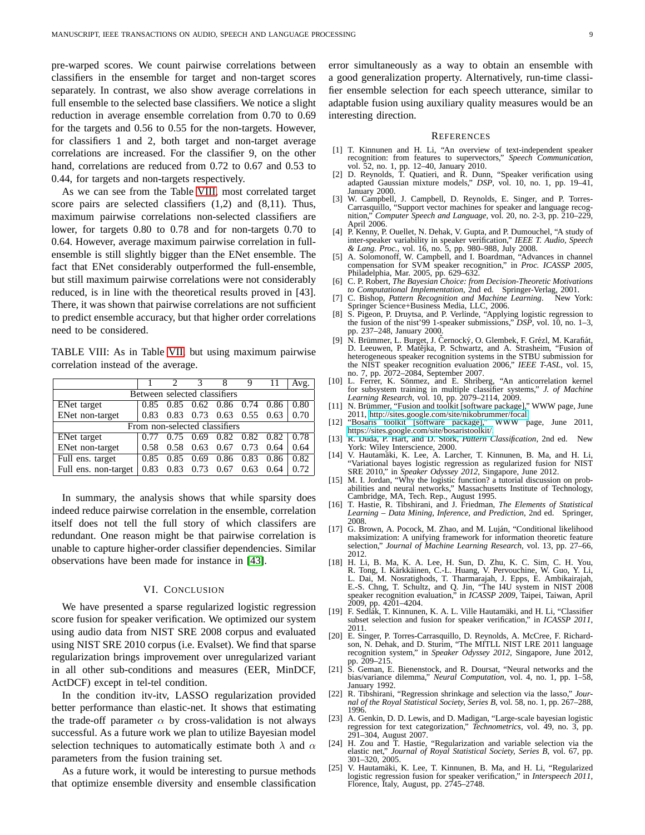pre-warped scores. We count pairwise correlations between classifiers in the ensemble for target and non-target scores separately. In contrast, we also show average correlations in full ensemble to the selected base classifiers. We notice a slight reduction in average ensemble correlation from 0.70 to 0.69 for the targets and 0.56 to 0.55 for the non-targets. However, for classifiers 1 and 2, both target and non-target average correlations are increased. For the classifier 9, on the other hand, correlations are reduced from 0.72 to 0.67 and 0.53 to 0.44, for targets and non-targets respectively.

As we can see from the Table [VIII,](#page-8-25) most correlated target score pairs are selected classifiers (1,2) and (8,11). Thus, maximum pairwise correlations non-selected classifiers are lower, for targets 0.80 to 0.78 and for non-targets 0.70 to 0.64. However, average maximum pairwise correlation in fullensemble is still slightly bigger than the ENet ensemble. The fact that ENet considerably outperformed the full-ensemble, but still maximum pairwise correlations were not considerably reduced, is in line with the theoretical results proved in [43]. There, it was shown that pairwise correlations are not sufficient to predict ensemble accuracy, but that higher order correlations need to be considered.

<span id="page-8-25"></span>TABLE VIII: As in Table [VII,](#page-7-1) but using maximum pairwise correlation instead of the average.

|                              |      |      |                               |           | 9           |      | Avg. |  |  |  |  |
|------------------------------|------|------|-------------------------------|-----------|-------------|------|------|--|--|--|--|
| Between selected classifiers |      |      |                               |           |             |      |      |  |  |  |  |
| <b>ENet</b> target           | 0.85 | 0.85 | 0.62                          | 0.86 0.74 |             | 0.86 | 0.80 |  |  |  |  |
| ENet non-target              | 0.83 | 0.83 | 0.73                          | 0.63      | $0.55$ 0.63 |      | 0.70 |  |  |  |  |
|                              |      |      | From non-selected classifiers |           |             |      |      |  |  |  |  |
| ENet target                  | 0.77 | 0.75 | 0.69                          | 0.82      | 0.82        | 0.82 | 0.78 |  |  |  |  |
| ENet non-target              | 0.58 | 0.58 | 0.63                          | 0.67      | 0.73        | 0.64 | 0.64 |  |  |  |  |
| Full ens. target             | 0.85 | 0.85 | 0.69                          | 0.86      | 0.83        | 0.86 | 0.82 |  |  |  |  |
| Full ens. non-target         | 0.83 | 0.83 | 0.73                          | 0.67      | 0.63        | 0.64 | 0.72 |  |  |  |  |

In summary, the analysis shows that while sparsity does indeed reduce pairwise correlation in the ensemble, correlation itself does not tell the full story of which classifers are redundant. One reason might be that pairwise correlation is unable to capture higher-order classifier dependencies. Similar observations have been made for instance in [\[43\]](#page-9-17).

### VI. CONCLUSION

We have presented a sparse regularized logistic regression score fusion for speaker verification. We optimized our system using audio data from NIST SRE 2008 corpus and evaluated using NIST SRE 2010 corpus (i.e. Evalset). We find that sparse regularization brings improvement over unregularized variant in all other sub-conditions and measures (EER, MinDCF, ActDCF) except in tel-tel condition.

In the condition itv-itv, LASSO regularization provided better performance than elastic-net. It shows that estimating the trade-off parameter  $\alpha$  by cross-validation is not always successful. As a future work we plan to utilize Bayesian model selection techniques to automatically estimate both  $\lambda$  and  $\alpha$ parameters from the fusion training set.

As a future work, it would be interesting to pursue methods that optimize ensemble diversity and ensemble classification error simultaneously as a way to obtain an ensemble with a good generalization property. Alternatively, run-time classifier ensemble selection for each speech utterance, similar to adaptable fusion using auxiliary quality measures would be an interesting direction.

#### **REFERENCES**

- <span id="page-8-0"></span>[1] T. Kinnunen and H. Li, "An overview of text-independent speaker recognition: from features to supervectors," *Speech Communication*, vol. 52, no. 1, pp. 12–40, January 2010. [2] D. Reynolds, T. Quatieri, and R. Dunn, "Speaker verification using
- <span id="page-8-1"></span>adapted Gaussian mixture models," *DSP*, vol. 10, no. 1, pp. 19–41, January 2000.
- <span id="page-8-2"></span>[3] W. Campbell, J. Campbell, D. Reynolds, E. Singer, and P. Torres-Carrasquillo, "Support vector machines for speaker and language recog-nition," *Computer Speech and Language*, vol. 20, no. 2-3, pp. 210–229, April 2006.
- <span id="page-8-3"></span>[4] P. Kenny, P. Ouellet, N. Dehak, V. Gupta, and P. Dumouchel, "A study of inter-speaker variability in speaker verification," *IEEE T. Audio, Speech & Lang. Proc.*, vol. 16, no. 5, pp. 980–988, July 2008. [5] A. Solomonoff, W. Campbell, and I. Boardman, "Advances in channel
- <span id="page-8-4"></span>compensation for SVM speaker recognition," in *Proc. ICASSP 2005*, Philadelphia, Mar. 2005, pp. 629–632. [6] C. P. Robert, *The Bayesian Choice: from Decision-Theoretic Motivations*
- <span id="page-8-6"></span><span id="page-8-5"></span>*to Computational Implementation*, 2nd ed. Springer-Verlag, 2001. [7] C. Bishop, *Pattern Recognition and Machine Learning*. New York:
- 
- <span id="page-8-7"></span>Springer Science+Business Media, LLC, 2006. [8] S. Pigeon, P. Druytsa, and P. Verlinde, "Applying logistic regression to the fusion of the nist'99 1-speaker submissions," *DSP*, vol. 10, no. 1–3, pp. 237–248, January 2000.
- <span id="page-8-8"></span>[9] N. Brümmer, L. Burget, J. Černocký, O. Glembek, F. Grézl, M. Karafiát, D. Leeuwen, P. Matějka, P. Schwartz, and A. Strasheim, "Fusion of heterogeneous speaker recognition systems in the STBU submission for the NIST speaker recognition evaluation 2006," *IEEE T-ASL*, vol. 15, no. 7, pp. 2072–2084, September 2007.
- <span id="page-8-9"></span>[10] L. Ferrer, K. Sönmez, and E. Shriberg, "An anticorrelation kernel for subsystem training in multiple classifier systems," *J. of Machine Learning Research*, vol. 10, pp. 2079–2114, 2009.<br>
[11] N. Brümmer, "Fusion and toolkit [software package]," WWW page, June
- <span id="page-8-10"></span>2011, [http://sites.google.com/site/nikobrummer/focal.](http://sites.google.com/site/nikobrummer/focal)<br>"Bosaris toolkit [software package]," WWW page, June 2011,
- <span id="page-8-11"></span>[12] "Bosaris toolkit [software package]," [https://sites.google.com/site/bosaristoolkit/.](https://sites.google.com/site/bosaristoolkit/)
- <span id="page-8-12"></span>[13] R. Duda, P. Hart, and D. Stork, *Pattern Classification*, 2nd ed. New York: Wiley Interscience, 2000.
- <span id="page-8-16"></span>[14] V. Hautamäki, K. Lee, A. Larcher, T. Kinnunen, B. Ma, and H. Li, "Variational bayes logistic regression as regularized fusion for NIST SRE 2010," in *Speaker Odyssey 2012*, Singapore, June 2012.
- <span id="page-8-13"></span>[15] M. I. Jordan, "Why the logistic function? a tutorial discussion on prob-abilities and neural networks," Massachusetts Institute of Technology, Cambridge, MA, Tech. Rep., August 1995.
- <span id="page-8-14"></span>[16] T. Hastie, R. Tibshirani, and J. Friedman, *The Elements of Statistical Learning – Data Mining, Inference, and Prediction*, 2nd ed. Springer, 2008.
- <span id="page-8-15"></span>[17] G. Brown, A. Pocock, M. Zhao, and M. Luján, "Conditional likelihood maksimization: A unifying framework for information theoretic feature selection," *Journal of Machine Learning Research*, vol. 13, pp. 27–66, 2012.
- <span id="page-8-17"></span>[18] H. Li, B. Ma, K. A. Lee, H. Sun, D. Zhu, K. C. Sim, C. H. You, R. Tong, I. Kärkkäinen, C.-L. Huang, V. Pervouchine, W. Guo, Y. Li, L. Dai, M. Nosratighods, T. Tharmarajah, J. Epps, E. Ambikairajah, E.-S. Chng, T. Schultz, and Q. Jin, "The I4U system in NIST 2008 speaker recognition evaluation," in *ICASSP 2009*, Taipei, Taiwan, April 2009, pp. 4201–4204.<br>[19] F. Sedlák, T. Kinnunen, K. A. L. Ville Hautamäki, and H. Li, "Classifier
- <span id="page-8-18"></span>subset selection and fusion for speaker verification," in *ICASSP 2011*, 2011.
- <span id="page-8-19"></span>[20] E. Singer, P. Torres-Carrasquillo, D. Reynolds, A. McCree, F. Richard-son, N. Dehak, and D. Sturim, "The MITLL NIST LRE 2011 language recognition system," in *Speaker Odyssey 2012*, Singapore, June 2012, pp. 209–215.
- <span id="page-8-20"></span>[21] S. Geman, E. Bienenstock, and R. Doursat, "Neural networks and the bias/variance dilemma," *Neural Computation*, vol. 4, no. 1, pp. 1–58, January 1992.
- <span id="page-8-21"></span>[22] R. Tibshirani, "Regression shrinkage and selection via the lasso," *Journal of the Royal Statistical Society, Series B*, vol. 58, no. 1, pp. 267–288, 1996.
- <span id="page-8-22"></span>[23] A. Genkin, D. D. Lewis, and D. Madigan, "Large-scale bayesian logistic regression for text categorization," *Technometrics*, vol. 49, no. 3, pp. 291–304, August 2007.
- <span id="page-8-23"></span>[24] H. Zou and T. Hastie, "Regularization and variable selection via the elastic net," *Journal of Royal Statistical Society, Series B*, vol. 67, pp. 301–320, 2005.
- <span id="page-8-24"></span>[25] V. Hautamäki, K. Lee, T. Kinnunen, B. Ma, and H. Li, "Regularized logistic regression fusion for speaker verification," in *Interspeech 2011*, Florence, Italy, August, pp. 2745–2748.